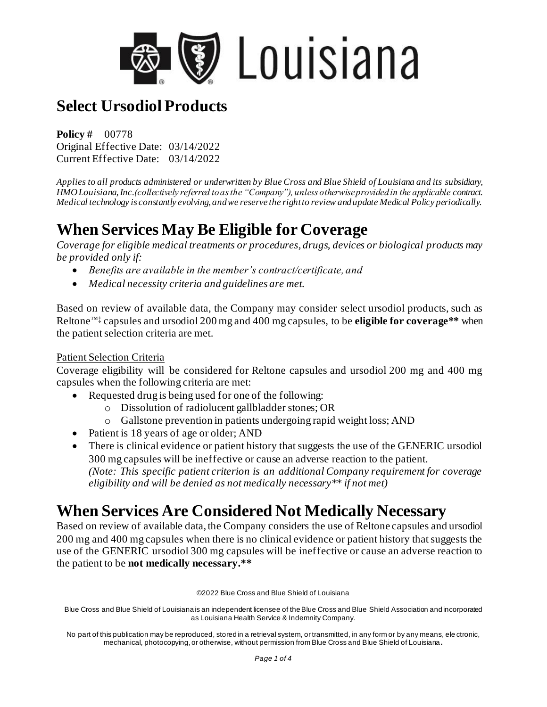

**Policy #** 00778 Original Effective Date: 03/14/2022 Current Effective Date: 03/14/2022

*Applies to all products administered or underwritten by Blue Cross and Blue Shield of Louisiana and its subsidiary, HMO Louisiana, Inc.(collectively referred to as the "Company"), unless otherwise provided in the applicable contract. Medical technology is constantly evolving, and we reserve the right to review and update Medical Policy periodically.*

## **When Services May Be Eligible for Coverage**

*Coverage for eligible medical treatments or procedures, drugs, devices or biological products may be provided only if:* 

- *Benefits are available in the member's contract/certificate, and*
- *Medical necessity criteria and guidelines are met.*

Based on review of available data, the Company may consider select ursodiol products, such as Reltone™‡ capsules and ursodiol 200 mg and 400 mg capsules, to be **eligible for coverage\*\*** when the patient selection criteria are met.

#### Patient Selection Criteria

Coverage eligibility will be considered for Reltone capsules and ursodiol 200 mg and 400 mg capsules when the following criteria are met:

- Requested drug is being used for one of the following:
	- o Dissolution of radiolucent gallbladder stones; OR
	- o Gallstone prevention in patients undergoing rapid weight loss; AND
- Patient is 18 years of age or older; AND
- There is clinical evidence or patient history that suggests the use of the GENERIC ursodiol 300 mg capsules will be ineffective or cause an adverse reaction to the patient. *(Note: This specific patient criterion is an additional Company requirement for coverage eligibility and will be denied as not medically necessary\*\* if not met)*

### **When Services Are Considered Not Medically Necessary**

Based on review of available data, the Company considers the use of Reltone capsules and ursodiol 200 mg and 400 mg capsules when there is no clinical evidence or patient history that suggests the use of the GENERIC ursodiol 300 mg capsules will be ineffective or cause an adverse reaction to the patient to be **not medically necessary.\*\***

©2022 Blue Cross and Blue Shield of Louisiana

Blue Cross and Blue Shield of Louisiana is an independent licensee of the Blue Cross and Blue Shield Association and incorporated as Louisiana Health Service & Indemnity Company.

No part of this publication may be reproduced, stored in a retrieval system, or transmitted, in any form or by any means, ele ctronic, mechanical, photocopying, or otherwise, without permission from Blue Cross and Blue Shield of Louisiana**.**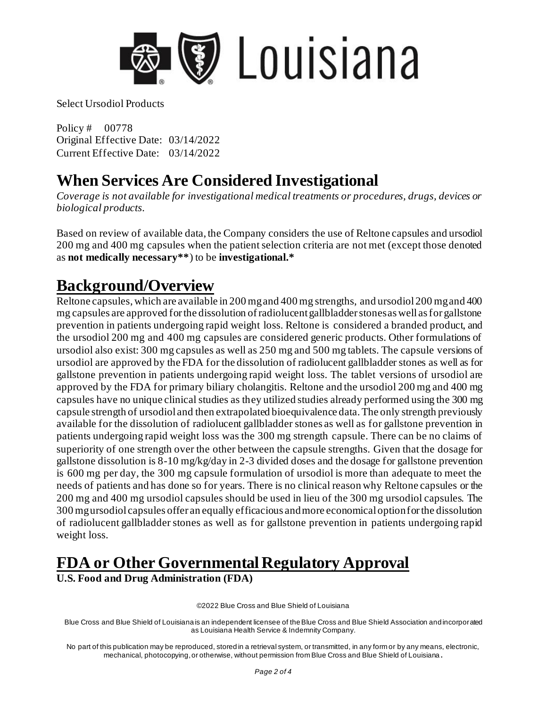

Policy # 00778 Original Effective Date: 03/14/2022 Current Effective Date: 03/14/2022

### **When Services Are Considered Investigational**

*Coverage is not available for investigational medical treatments or procedures, drugs, devices or biological products.*

Based on review of available data, the Company considers the use of Reltone capsules and ursodiol 200 mg and 400 mg capsules when the patient selection criteria are not met (except those denoted as **not medically necessary\*\***) to be **investigational.\***

#### **Background/Overview**

Reltone capsules, which are available in 200 mg and 400 mg strengths, and ursodiol 200 mg and 400 mg capsules are approved for the dissolution of radiolucent gallbladder stones as well as for gallstone prevention in patients undergoing rapid weight loss. Reltone is considered a branded product, and the ursodiol 200 mg and 400 mg capsules are considered generic products. Other formulations of ursodiol also exist: 300 mg capsules as well as 250 mg and 500 mg tablets. The capsule versions of ursodiol are approved by the FDA for the dissolution of radiolucent gallbladder stones as well as for gallstone prevention in patients undergoing rapid weight loss. The tablet versions of ursodiol are approved by the FDA for primary biliary cholangitis. Reltone and the ursodiol 200 mg and 400 mg capsules have no unique clinical studies as they utilized studies already performed using the 300 mg capsule strength of ursodiol and then extrapolated bioequivalence data. The only strength previously available for the dissolution of radiolucent gallbladder stones as well as for gallstone prevention in patients undergoing rapid weight loss was the 300 mg strength capsule. There can be no claims of superiority of one strength over the other between the capsule strengths. Given that the dosage for gallstone dissolution is 8-10 mg/kg/day in 2-3 divided doses and the dosage for gallstone prevention is 600 mg per day, the 300 mg capsule formulation of ursodiol is more than adequate to meet the needs of patients and has done so for years. There is no clinical reason why Reltone capsules or the 200 mg and 400 mg ursodiol capsules should be used in lieu of the 300 mg ursodiol capsules. The 300 mg ursodiol capsules offer an equally efficacious and more economical option for the dissolution of radiolucent gallbladder stones as well as for gallstone prevention in patients undergoing rapid weight loss.

# **FDA or Other Governmental Regulatory Approval**

**U.S. Food and Drug Administration (FDA)**

©2022 Blue Cross and Blue Shield of Louisiana

Blue Cross and Blue Shield of Louisiana is an independent licensee of the Blue Cross and Blue Shield Association and incorporated as Louisiana Health Service & Indemnity Company.

No part of this publication may be reproduced, stored in a retrieval system, or transmitted, in any form or by any means, electronic, mechanical, photocopying, or otherwise, without permission from Blue Cross and Blue Shield of Louisiana **.**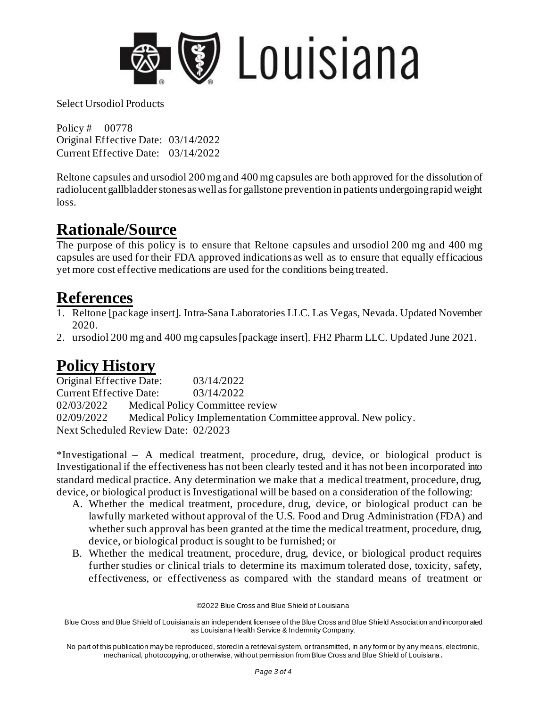

Policy # 00778 Original Effective Date: 03/14/2022 Current Effective Date: 03/14/2022

Reltone capsules and ursodiol 200 mg and 400 mg capsules are both approved for the dissolution of radiolucent gallbladder stones as well as for gallstone prevention in patients undergoing rapid weight loss.

## **Rationale/Source**

The purpose of this policy is to ensure that Reltone capsules and ursodiol 200 mg and 400 mg capsules are used for their FDA approved indications as well as to ensure that equally efficacious yet more cost effective medications are used for the conditions being treated.

### **References**

- 1. Reltone [package insert]. Intra-Sana Laboratories LLC. Las Vegas, Nevada. Updated November 2020.
- 2. ursodiol 200 mg and 400 mg capsules [package insert]. FH2 Pharm LLC. Updated June 2021.

### **Policy History**

Original Effective Date: 03/14/2022 Current Effective Date: 03/14/2022 02/03/2022 Medical Policy Committee review 02/09/2022 Medical Policy Implementation Committee approval. New policy. Next Scheduled Review Date: 02/2023

\*Investigational – A medical treatment, procedure, drug, device, or biological product is Investigational if the effectiveness has not been clearly tested and it has not been incorporated into standard medical practice. Any determination we make that a medical treatment, procedure, drug, device, or biological product is Investigational will be based on a consideration of the following:

- A. Whether the medical treatment, procedure, drug, device, or biological product can be lawfully marketed without approval of the U.S. Food and Drug Administration (FDA) and whether such approval has been granted at the time the medical treatment, procedure, drug, device, or biological product is sought to be furnished; or
- B. Whether the medical treatment, procedure, drug, device, or biological product requires further studies or clinical trials to determine its maximum tolerated dose, toxicity, safety, effectiveness, or effectiveness as compared with the standard means of treatment or

©2022 Blue Cross and Blue Shield of Louisiana

Blue Cross and Blue Shield of Louisiana is an independent licensee of the Blue Cross and Blue Shield Association and incorporated as Louisiana Health Service & Indemnity Company.

No part of this publication may be reproduced, stored in a retrieval system, or transmitted, in any form or by any means, electronic, mechanical, photocopying, or otherwise, without permission from Blue Cross and Blue Shield of Louisiana **.**